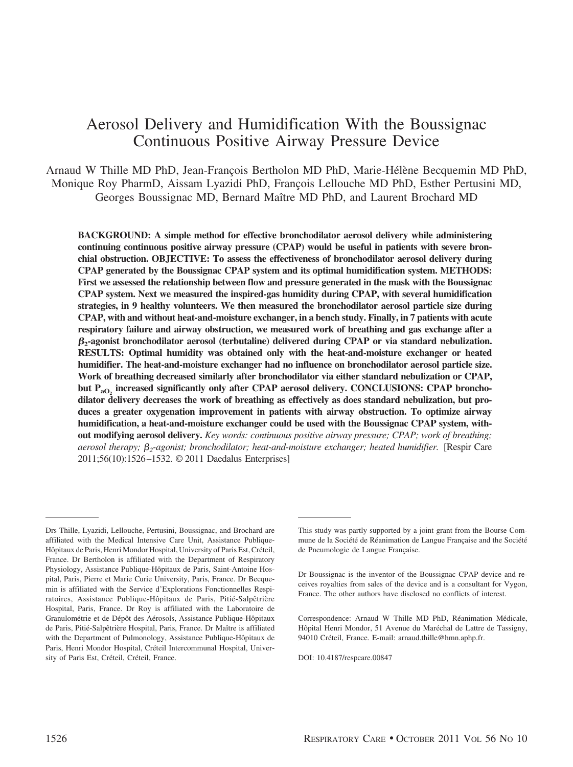# Aerosol Delivery and Humidification With the Boussignac Continuous Positive Airway Pressure Device

Arnaud W Thille MD PhD, Jean-François Bertholon MD PhD, Marie-Hélène Becquemin MD PhD, Monique Roy PharmD, Aissam Lyazidi PhD, François Lellouche MD PhD, Esther Pertusini MD, Georges Boussignac MD, Bernard Maître MD PhD, and Laurent Brochard MD

**BACKGROUND: A simple method for effective bronchodilator aerosol delivery while administering continuing continuous positive airway pressure (CPAP) would be useful in patients with severe bronchial obstruction. OBJECTIVE: To assess the effectiveness of bronchodilator aerosol delivery during CPAP generated by the Boussignac CPAP system and its optimal humidification system. METHODS: First we assessed the relationship between flow and pressure generated in the mask with the Boussignac CPAP system. Next we measured the inspired-gas humidity during CPAP, with several humidification strategies, in 9 healthy volunteers. We then measured the bronchodilator aerosol particle size during CPAP, with and without heat-and-moisture exchanger, in a bench study. Finally, in 7 patients with acute respiratory failure and airway obstruction, we measured work of breathing and gas exchange after a 2-agonist bronchodilator aerosol (terbutaline) delivered during CPAP or via standard nebulization. RESULTS: Optimal humidity was obtained only with the heat-and-moisture exchanger or heated humidifier. The heat-and-moisture exchanger had no influence on bronchodilator aerosol particle size. Work of breathing decreased similarly after bronchodilator via either standard nebulization or CPAP,** but P<sub>aO</sub>, increased significantly only after CPAP aerosol delivery. CONCLUSIONS: CPAP broncho**dilator delivery decreases the work of breathing as effectively as does standard nebulization, but produces a greater oxygenation improvement in patients with airway obstruction. To optimize airway humidification, a heat-and-moisture exchanger could be used with the Boussignac CPAP system, without modifying aerosol delivery.** *Key words: continuous positive airway pressure; CPAP; work of breathing; aerosol therapy; 2-agonist; bronchodilator; heat-and-moisture exchanger; heated humidifier.* [Respir Care 2011;56(10):1526 –1532. © 2011 Daedalus Enterprises]

Correspondence: Arnaud W Thille MD PhD, Réanimation Médicale, Hôpital Henri Mondor, 51 Avenue du Maréchal de Lattre de Tassigny, 94010 Créteil, France. E-mail: arnaud.thille@hmn.aphp.fr.

DOI: 10.4187/respcare.00847

Drs Thille, Lyazidi, Lellouche, Pertusini, Boussignac, and Brochard are affiliated with the Medical Intensive Care Unit, Assistance Publique-Hôpitaux de Paris, Henri Mondor Hospital, University of Paris Est, Créteil, France. Dr Bertholon is affiliated with the Department of Respiratory Physiology, Assistance Publique-Hôpitaux de Paris, Saint-Antoine Hospital, Paris, Pierre et Marie Curie University, Paris, France. Dr Becquemin is affiliated with the Service d'Explorations Fonctionnelles Respiratoires, Assistance Publique-Hôpitaux de Paris, Pitié-Salpêtrière Hospital, Paris, France. Dr Roy is affiliated with the Laboratoire de Granulométrie et de Dépôt des Aérosols, Assistance Publique-Hôpitaux de Paris, Pitié-Salpêtrière Hospital, Paris, France. Dr Maître is affiliated with the Department of Pulmonology, Assistance Publique-Hôpitaux de Paris, Henri Mondor Hospital, Créteil Intercommunal Hospital, University of Paris Est, Créteil, Créteil, France.

This study was partly supported by a joint grant from the Bourse Commune de la Société de Réanimation de Langue Française and the Société de Pneumologie de Langue Française.

Dr Boussignac is the inventor of the Boussignac CPAP device and receives royalties from sales of the device and is a consultant for Vygon, France. The other authors have disclosed no conflicts of interest.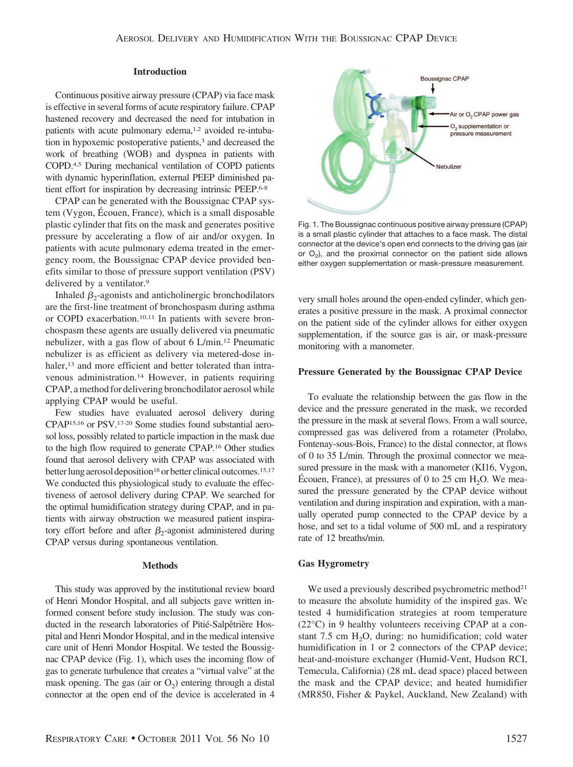## **Introduction**

Continuous positive airway pressure (CPAP) via face mask is effective in several forms of acute respiratory failure. CPAP hastened recovery and decreased the need for intubation in patients with acute pulmonary edema,<sup>1,2</sup> avoided re-intubation in hypoxemic postoperative patients,<sup>3</sup> and decreased the work of breathing (WOB) and dyspnea in patients with COPD.4,5 During mechanical ventilation of COPD patients with dynamic hyperinflation, external PEEP diminished patient effort for inspiration by decreasing intrinsic PEEP.6-8

CPAP can be generated with the Boussignac CPAP system (Vygon, Écouen, France), which is a small disposable plastic cylinder that fits on the mask and generates positive pressure by accelerating a flow of air and/or oxygen. In patients with acute pulmonary edema treated in the emergency room, the Boussignac CPAP device provided benefits similar to those of pressure support ventilation (PSV) delivered by a ventilator.<sup>9</sup>

Inhaled  $\beta_2$ -agonists and anticholinergic bronchodilators are the first-line treatment of bronchospasm during asthma or COPD exacerbation.10,11 In patients with severe bronchospasm these agents are usually delivered via pneumatic nebulizer, with a gas flow of about 6 L/min.12 Pneumatic nebulizer is as efficient as delivery via metered-dose inhaler,<sup>13</sup> and more efficient and better tolerated than intravenous administration.14 However, in patients requiring CPAP, a method for delivering bronchodilator aerosol while applying CPAP would be useful.

Few studies have evaluated aerosol delivery during CPAP15,16 or PSV.17-20 Some studies found substantial aerosol loss, possibly related to particle impaction in the mask due to the high flow required to generate CPAP.16 Other studies found that aerosol delivery with CPAP was associated with better lung aerosol deposition<sup>18</sup> or better clinical outcomes.<sup>15,17</sup> We conducted this physiological study to evaluate the effectiveness of aerosol delivery during CPAP. We searched for the optimal humidification strategy during CPAP, and in patients with airway obstruction we measured patient inspiratory effort before and after  $\beta_2$ -agonist administered during CPAP versus during spontaneous ventilation.

#### **Methods**

This study was approved by the institutional review board of Henri Mondor Hospital, and all subjects gave written informed consent before study inclusion. The study was conducted in the research laboratories of Pitié-Salpêtrière Hospital and Henri Mondor Hospital, and in the medical intensive care unit of Henri Mondor Hospital. We tested the Boussignac CPAP device (Fig. 1), which uses the incoming flow of gas to generate turbulence that creates a "virtual valve" at the mask opening. The gas (air or  $O<sub>2</sub>$ ) entering through a distal connector at the open end of the device is accelerated in 4



Fig. 1. The Boussignac continuous positive airway pressure (CPAP) is a small plastic cylinder that attaches to a face mask. The distal connector at the device's open end connects to the driving gas (air or  $O<sub>2</sub>$ ), and the proximal connector on the patient side allows either oxygen supplementation or mask-pressure measurement.

very small holes around the open-ended cylinder, which generates a positive pressure in the mask. A proximal connector on the patient side of the cylinder allows for either oxygen supplementation, if the source gas is air, or mask-pressure monitoring with a manometer.

# **Pressure Generated by the Boussignac CPAP Device**

To evaluate the relationship between the gas flow in the device and the pressure generated in the mask, we recorded the pressure in the mask at several flows. From a wall source, compressed gas was delivered from a rotameter (Prolabo, Fontenay-sous-Bois, France) to the distal connector, at flows of 0 to 35 L/min. Through the proximal connector we measured pressure in the mask with a manometer (KI16, Vygon, Écouen, France), at pressures of 0 to 25 cm  $H_2O$ . We measured the pressure generated by the CPAP device without ventilation and during inspiration and expiration, with a manually operated pump connected to the CPAP device by a hose, and set to a tidal volume of 500 mL and a respiratory rate of 12 breaths/min.

#### **Gas Hygrometry**

We used a previously described psychrometric method<sup>21</sup> to measure the absolute humidity of the inspired gas. We tested 4 humidification strategies at room temperature (22°C) in 9 healthy volunteers receiving CPAP at a constant  $7.5 \text{ cm } H<sub>2</sub>O$ , during: no humidification; cold water humidification in 1 or 2 connectors of the CPAP device; heat-and-moisture exchanger (Humid-Vent, Hudson RCI, Temecula, California) (28 mL dead space) placed between the mask and the CPAP device; and heated humidifier (MR850, Fisher & Paykel, Auckland, New Zealand) with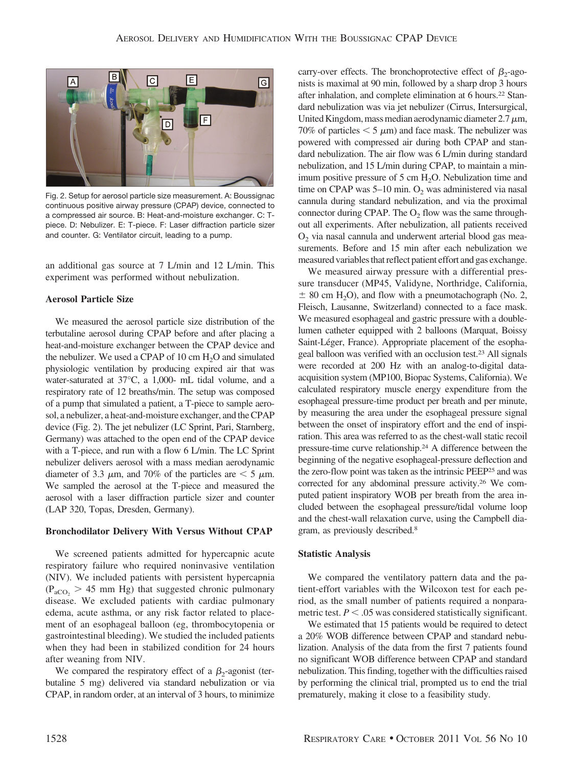

Fig. 2. Setup for aerosol particle size measurement. A: Boussignac continuous positive airway pressure (CPAP) device, connected to a compressed air source. B: Heat-and-moisture exchanger. C: Tpiece. D: Nebulizer. E: T-piece. F: Laser diffraction particle sizer and counter. G: Ventilator circuit, leading to a pump.

an additional gas source at 7 L/min and 12 L/min. This experiment was performed without nebulization.

# **Aerosol Particle Size**

We measured the aerosol particle size distribution of the terbutaline aerosol during CPAP before and after placing a heat-and-moisture exchanger between the CPAP device and the nebulizer. We used a CPAP of 10 cm  $H_2O$  and simulated physiologic ventilation by producing expired air that was water-saturated at 37°C, a 1,000- mL tidal volume, and a respiratory rate of 12 breaths/min. The setup was composed of a pump that simulated a patient, a T-piece to sample aerosol, a nebulizer, a heat-and-moisture exchanger, and the CPAP device (Fig. 2). The jet nebulizer (LC Sprint, Pari, Starnberg, Germany) was attached to the open end of the CPAP device with a T-piece, and run with a flow 6 L/min. The LC Sprint nebulizer delivers aerosol with a mass median aerodynamic diameter of 3.3  $\mu$ m, and 70% of the particles are  $\lt$  5  $\mu$ m. We sampled the aerosol at the T-piece and measured the aerosol with a laser diffraction particle sizer and counter (LAP 320, Topas, Dresden, Germany).

# **Bronchodilator Delivery With Versus Without CPAP**

We screened patients admitted for hypercapnic acute respiratory failure who required noninvasive ventilation (NIV). We included patients with persistent hypercapnia  $(P_{aCO_2} > 45$  mm Hg) that suggested chronic pulmonary disease. We excluded patients with cardiac pulmonary edema, acute asthma, or any risk factor related to placement of an esophageal balloon (eg, thrombocytopenia or gastrointestinal bleeding). We studied the included patients when they had been in stabilized condition for 24 hours after weaning from NIV.

We compared the respiratory effect of a  $\beta_2$ -agonist (terbutaline 5 mg) delivered via standard nebulization or via CPAP, in random order, at an interval of 3 hours, to minimize carry-over effects. The bronchoprotective effect of  $\beta_2$ -agonists is maximal at 90 min, followed by a sharp drop 3 hours after inhalation, and complete elimination at 6 hours.22 Standard nebulization was via jet nebulizer (Cirrus, Intersurgical, United Kingdom, mass median aerodynamic diameter  $2.7 \mu m$ , 70% of particles  $\leq 5 \mu$ m) and face mask. The nebulizer was powered with compressed air during both CPAP and standard nebulization. The air flow was 6 L/min during standard nebulization, and 15 L/min during CPAP, to maintain a minimum positive pressure of  $5 \text{ cm H}_2\text{O}$ . Nebulization time and time on CPAP was  $5-10$  min.  $O_2$  was administered via nasal cannula during standard nebulization, and via the proximal connector during CPAP. The  $O<sub>2</sub>$  flow was the same throughout all experiments. After nebulization, all patients received  $O<sub>2</sub>$  via nasal cannula and underwent arterial blood gas measurements. Before and 15 min after each nebulization we measured variables that reflect patient effort and gas exchange.

We measured airway pressure with a differential pressure transducer (MP45, Validyne, Northridge, California,  $\pm$  80 cm H<sub>2</sub>O), and flow with a pneumotachograph (No. 2, Fleisch, Lausanne, Switzerland) connected to a face mask. We measured esophageal and gastric pressure with a doublelumen catheter equipped with 2 balloons (Marquat, Boissy Saint-Léger, France). Appropriate placement of the esophageal balloon was verified with an occlusion test.23 All signals were recorded at 200 Hz with an analog-to-digital dataacquisition system (MP100, Biopac Systems, California). We calculated respiratory muscle energy expenditure from the esophageal pressure-time product per breath and per minute, by measuring the area under the esophageal pressure signal between the onset of inspiratory effort and the end of inspiration. This area was referred to as the chest-wall static recoil pressure-time curve relationship.24 A difference between the beginning of the negative esophageal-pressure deflection and the zero-flow point was taken as the intrinsic PEEP25 and was corrected for any abdominal pressure activity.26 We computed patient inspiratory WOB per breath from the area included between the esophageal pressure/tidal volume loop and the chest-wall relaxation curve, using the Campbell diagram, as previously described.8

## **Statistic Analysis**

We compared the ventilatory pattern data and the patient-effort variables with the Wilcoxon test for each period, as the small number of patients required a nonparametric test.  $P < .05$  was considered statistically significant.

We estimated that 15 patients would be required to detect a 20% WOB difference between CPAP and standard nebulization. Analysis of the data from the first 7 patients found no significant WOB difference between CPAP and standard nebulization. This finding, together with the difficulties raised by performing the clinical trial, prompted us to end the trial prematurely, making it close to a feasibility study.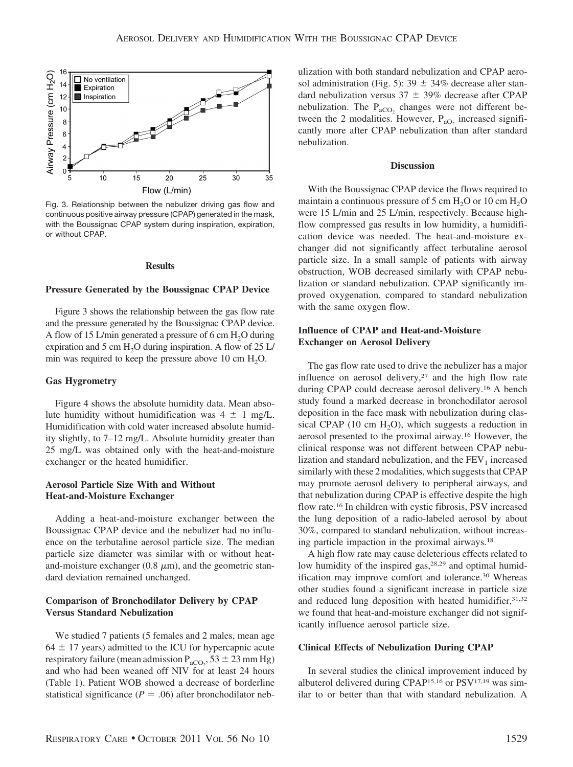

Fig. 3. Relationship between the nebulizer driving gas flow and continuous positive airway pressure (CPAP) generated in the mask, with the Boussignac CPAP system during inspiration, expiration, or without CPAP.

### **Results**

## **Pressure Generated by the Boussignac CPAP Device**

Figure 3 shows the relationship between the gas flow rate and the pressure generated by the Boussignac CPAP device. A flow of 15 L/min generated a pressure of 6 cm  $H_2O$  during expiration and 5 cm  $H_2O$  during inspiration. A flow of 25 L/ min was required to keep the pressure above 10 cm  $H_2O$ .

# **Gas Hygrometry**

Figure 4 shows the absolute humidity data. Mean absolute humidity without humidification was  $4 \pm 1$  mg/L. Humidification with cold water increased absolute humidity slightly, to 7–12 mg/L. Absolute humidity greater than 25 mg/L was obtained only with the heat-and-moisture exchanger or the heated humidifier.

# **Aerosol Particle Size With and Without Heat-and-Moisture Exchanger**

Adding a heat-and-moisture exchanger between the Boussignac CPAP device and the nebulizer had no influence on the terbutaline aerosol particle size. The median particle size diameter was similar with or without heatand-moisture exchanger  $(0.8 \mu m)$ , and the geometric standard deviation remained unchanged.

# **Comparison of Bronchodilator Delivery by CPAP Versus Standard Nebulization**

We studied 7 patients (5 females and 2 males, mean age  $64 \pm 17$  years) admitted to the ICU for hypercapnic acute respiratory failure (mean admission  $P_{aCO_2}$ , 53  $\pm$  23 mm Hg) and who had been weaned off NIV for at least 24 hours (Table 1). Patient WOB showed a decrease of borderline statistical significance  $(P = .06)$  after bronchodilator nebulization with both standard nebulization and CPAP aerosol administration (Fig. 5):  $39 \pm 34\%$  decrease after standard nebulization versus  $37 \pm 39\%$  decrease after CPAP nebulization. The  $P_{aCO_2}$  changes were not different between the 2 modalities. However,  $P_{aO_2}$  increased significantly more after CPAP nebulization than after standard nebulization.

#### **Discussion**

With the Boussignac CPAP device the flows required to maintain a continuous pressure of 5 cm  $H_2O$  or 10 cm  $H_2O$ were 15 L/min and 25 L/min, respectively. Because highflow compressed gas results in low humidity, a humidification device was needed. The heat-and-moisture exchanger did not significantly affect terbutaline aerosol particle size. In a small sample of patients with airway obstruction, WOB decreased similarly with CPAP nebulization or standard nebulization. CPAP significantly improved oxygenation, compared to standard nebulization with the same oxygen flow.

# **Influence of CPAP and Heat-and-Moisture Exchanger on Aerosol Delivery**

The gas flow rate used to drive the nebulizer has a major influence on aerosol delivery,<sup>27</sup> and the high flow rate during CPAP could decrease aerosol delivery.16 A bench study found a marked decrease in bronchodilator aerosol deposition in the face mask with nebulization during classical CPAP (10 cm  $H_2O$ ), which suggests a reduction in aerosol presented to the proximal airway.16 However, the clinical response was not different between CPAP nebulization and standard nebulization, and the  $FEV<sub>1</sub>$  increased similarly with these 2 modalities, which suggests that CPAP may promote aerosol delivery to peripheral airways, and that nebulization during CPAP is effective despite the high flow rate.16 In children with cystic fibrosis, PSV increased the lung deposition of a radio-labeled aerosol by about 30%, compared to standard nebulization, without increasing particle impaction in the proximal airways.18

A high flow rate may cause deleterious effects related to low humidity of the inspired gas,<sup>28,29</sup> and optimal humidification may improve comfort and tolerance.30 Whereas other studies found a significant increase in particle size and reduced lung deposition with heated humidifier,  $31,32$ we found that heat-and-moisture exchanger did not significantly influence aerosol particle size.

#### **Clinical Effects of Nebulization During CPAP**

In several studies the clinical improvement induced by albuterol delivered during CPAP15,16 or PSV17,19 was similar to or better than that with standard nebulization. A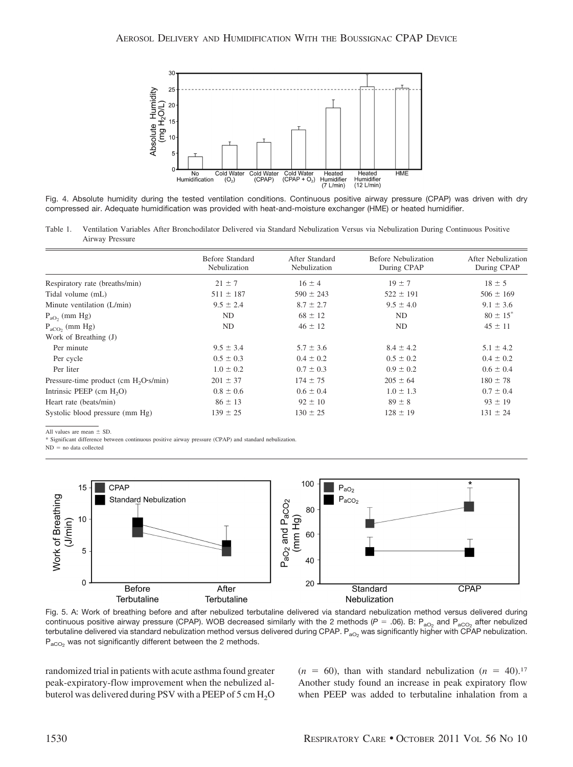

Fig. 4. Absolute humidity during the tested ventilation conditions. Continuous positive airway pressure (CPAP) was driven with dry compressed air. Adequate humidification was provided with heat-and-moisture exchanger (HME) or heated humidifier.

Table 1. Ventilation Variables After Bronchodilator Delivered via Standard Nebulization Versus via Nebulization During Continuous Positive Airway Pressure

|                                          | Before Standard<br>Nebulization | After Standard<br>Nebulization | <b>Before Nebulization</b><br>During CPAP | After Nebulization<br>During CPAP |
|------------------------------------------|---------------------------------|--------------------------------|-------------------------------------------|-----------------------------------|
| Respiratory rate (breaths/min)           | $21 \pm 7$                      | $16 \pm 4$                     | $19 \pm 7$                                | $18 \pm 5$                        |
| Tidal volume (mL)                        | $511 \pm 187$                   | $590 \pm 243$                  | $522 \pm 191$                             | $506 \pm 169$                     |
| Minute ventilation (L/min)               | $9.5 \pm 2.4$                   | $8.7 \pm 2.7$                  | $9.5 \pm 4.0$                             | $9.1 \pm 3.6$                     |
| $P_{aO}$ , (mm Hg)                       | ND                              | $68 \pm 12$                    | ND                                        | $80 \pm 15$ <sup>*</sup>          |
| $P_{\text{aCO}}$ , (mm Hg)               | ND                              | $46 \pm 12$                    | ND                                        | $45 \pm 11$                       |
| Work of Breathing (J)                    |                                 |                                |                                           |                                   |
| Per minute                               | $9.5 \pm 3.4$                   | $5.7 \pm 3.6$                  | $8.4 \pm 4.2$                             | $5.1 \pm 4.2$                     |
| Per cycle                                | $0.5 \pm 0.3$                   | $0.4 \pm 0.2$                  | $0.5 \pm 0.2$                             | $0.4 \pm 0.2$                     |
| Per liter                                | $1.0 \pm 0.2$                   | $0.7 \pm 0.3$                  | $0.9 \pm 0.2$                             | $0.6 \pm 0.4$                     |
| Pressure-time product (cm $H_2O$ ·s/min) | $201 \pm 37$                    | $174 \pm 75$                   | $205 \pm 64$                              | $180 \pm 78$                      |
| Intrinsic PEEP $(cm H2O)$                | $0.8 \pm 0.6$                   | $0.6 \pm 0.4$                  | $1.0 \pm 1.3$                             | $0.7 \pm 0.4$                     |
| Heart rate (beats/min)                   | $86 \pm 13$                     | $92 \pm 10$                    | $89 \pm 8$                                | $93 \pm 19$                       |
| Systolic blood pressure (mm Hg)          | $139 \pm 25$                    | $130 \pm 25$                   | $128 \pm 19$                              | $131 \pm 24$                      |

All values are mean  $\pm$  SD.

\* Significant difference between continuous positive airway pressure (CPAP) and standard nebulization.

 $ND = no$  data collected



Fig. 5. A: Work of breathing before and after nebulized terbutaline delivered via standard nebulization method versus delivered during continuous positive airway pressure (CPAP). WOB decreased similarly with the 2 methods ( $P = .06$ ). B:  $P_{aO_2}$  and  $P_{aCO_2}$  after nebulized terbutaline delivered via standard nebulization method versus delivered during CPAP.  $P_{aO_2}$  was significantly higher with CPAP nebulization.  $P_{aCO<sub>2</sub>}$  was not significantly different between the 2 methods.

randomized trial in patients with acute asthma found greater peak-expiratory-flow improvement when the nebulized albuterol was delivered during PSV with a PEEP of  $5 \text{ cm H}_2\text{O}$   $(n = 60)$ , than with standard nebulization  $(n = 40)$ .<sup>17</sup> Another study found an increase in peak expiratory flow when PEEP was added to terbutaline inhalation from a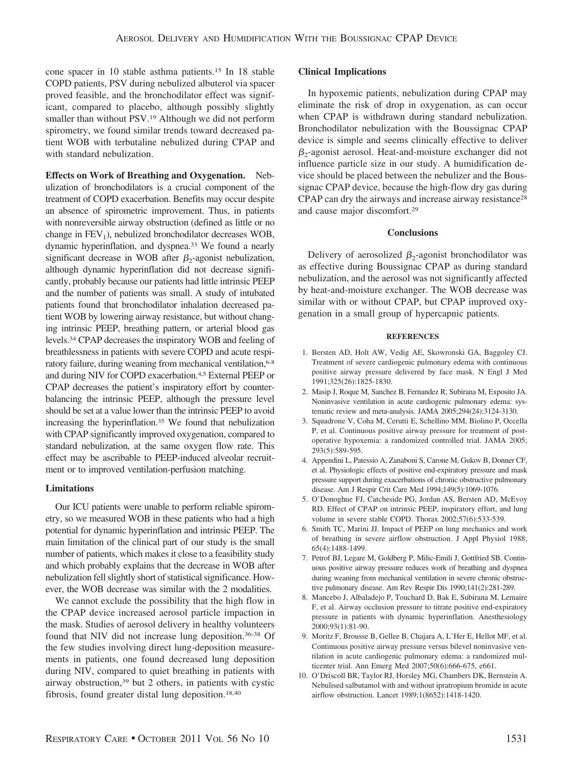cone spacer in 10 stable asthma patients.15 In 18 stable COPD patients, PSV during nebulized albuterol via spacer proved feasible, and the bronchodilator effect was significant, compared to placebo, although possibly slightly smaller than without PSV.19 Although we did not perform spirometry, we found similar trends toward decreased patient WOB with terbutaline nebulized during CPAP and with standard nebulization.

**Effects on Work of Breathing and Oxygenation.** Nebulization of bronchodilators is a crucial component of the treatment of COPD exacerbation. Benefits may occur despite an absence of spirometric improvement. Thus, in patients with nonreversible airway obstruction (defined as little or no change in  $FEV<sub>1</sub>$ ), nebulized bronchodilator decreases WOB, dynamic hyperinflation, and dyspnea.33 We found a nearly significant decrease in WOB after  $\beta_2$ -agonist nebulization, although dynamic hyperinflation did not decrease significantly, probably because our patients had little intrinsic PEEP and the number of patients was small. A study of intubated patients found that bronchodilator inhalation decreased patient WOB by lowering airway resistance, but without changing intrinsic PEEP, breathing pattern, or arterial blood gas levels.34 CPAP decreases the inspiratory WOB and feeling of breathlessness in patients with severe COPD and acute respiratory failure, during weaning from mechanical ventilation, 6-8 and during NIV for COPD exacerbation.4,5 External PEEP or CPAP decreases the patient's inspiratory effort by counterbalancing the intrinsic PEEP, although the pressure level should be set at a value lower than the intrinsic PEEP to avoid increasing the hyperinflation.<sup>35</sup> We found that nebulization with CPAP significantly improved oxygenation, compared to standard nebulization, at the same oxygen flow rate. This effect may be ascribable to PEEP-induced alveolar recruitment or to improved ventilation-perfusion matching.

# **Limitations**

Our ICU patients were unable to perform reliable spirometry, so we measured WOB in these patients who had a high potential for dynamic hyperinflation and intrinsic PEEP. The main limitation of the clinical part of our study is the small number of patients, which makes it close to a feasibility study and which probably explains that the decrease in WOB after nebulization fell slightly short of statistical significance. However, the WOB decrease was similar with the 2 modalities.

We cannot exclude the possibility that the high flow in the CPAP device increased aerosol particle impaction in the mask. Studies of aerosol delivery in healthy volunteers found that NIV did not increase lung deposition.36-38 Of the few studies involving direct lung-deposition measurements in patients, one found decreased lung deposition during NIV, compared to quiet breathing in patients with airway obstruction,39 but 2 others, in patients with cystic fibrosis, found greater distal lung deposition.18,40

# **Clinical Implications**

In hypoxemic patients, nebulization during CPAP may eliminate the risk of drop in oxygenation, as can occur when CPAP is withdrawn during standard nebulization. Bronchodilator nebulization with the Boussignac CPAP device is simple and seems clinically effective to deliver  $\beta_2$ -agonist aerosol. Heat-and-moisture exchanger did not influence particle size in our study. A humidification device should be placed between the nebulizer and the Boussignac CPAP device, because the high-flow dry gas during CPAP can dry the airways and increase airway resistance28 and cause major discomfort.29

# **Conclusions**

Delivery of aerosolized  $\beta_2$ -agonist bronchodilator was as effective during Boussignac CPAP as during standard nebulization, and the aerosol was not significantly affected by heat-and-moisture exchanger. The WOB decrease was similar with or without CPAP, but CPAP improved oxygenation in a small group of hypercapnic patients.

#### **REFERENCES**

- 1. Bersten AD, Holt AW, Vedig AE, Skowronski GA, Baggoley CJ. Treatment of severe cardiogenic pulmonary edema with continuous positive airway pressure delivered by face mask. N Engl J Med 1991;325(26):1825-1830.
- 2. Masip J, Roque M, Sanchez B, Fernandez R, Subirana M, Exposito JA. Noninvasive ventilation in acute cardiogenic pulmonary edema: systematic review and meta-analysis. JAMA 2005;294(24):3124-3130.
- 3. Squadrone V, Coha M, Cerutti E, Schellino MM, Biolino P, Occella P, et al. Continuous positive airway pressure for treatment of postoperative hypoxemia: a randomized controlled trial. JAMA 2005; 293(5):589-595.
- 4. Appendini L, Patessio A, Zanaboni S, Carone M, Gukov B, Donner CF, et al. Physiologic effects of positive end-expiratory pressure and mask pressure support during exacerbations of chronic obstructive pulmonary disease. Am J Respir Crit Care Med 1994;149(5):1069-1076.
- 5. O'Donoghue FJ, Catcheside PG, Jordan AS, Bersten AD, McEvoy RD. Effect of CPAP on intrinsic PEEP, inspiratory effort, and lung volume in severe stable COPD. Thorax 2002;57(6):533-539.
- 6. Smith TC, Marini JJ. Impact of PEEP on lung mechanics and work of breathing in severe airflow obstruction. J Appl Physiol 1988; 65(4):1488-1499.
- 7. Petrof BJ, Legare M, Goldberg P, Milic-Emili J, Gottfried SB. Continuous positive airway pressure reduces work of breathing and dyspnea during weaning from mechanical ventilation in severe chronic obstructive pulmonary disease. Am Rev Respir Dis 1990;141(2):281-289.
- 8. Mancebo J, Albaladejo P, Touchard D, Bak E, Subirana M, Lemaire F, et al. Airway occlusion pressure to titrate positive end-expiratory pressure in patients with dynamic hyperinflation. Anesthesiology 2000;93(1):81-90.
- 9. Moritz F, Brousse B, Gellee B, Chajara A, L'Her E, Hellot MF, et al. Continuous positive airway pressure versus bilevel noninvasive ventilation in acute cardiogenic pulmonary edema: a randomized multicenter trial. Ann Emerg Med 2007;50(6):666-675, e661.
- 10. O'Driscoll BR, Taylor RJ, Horsley MG, Chambers DK, Bernstein A. Nebulised salbutamol with and without ipratropium bromide in acute airflow obstruction. Lancet 1989;1(8652):1418-1420.